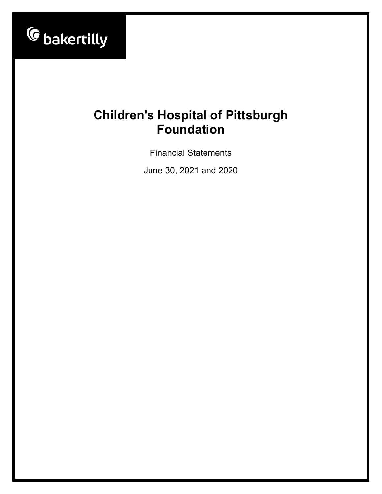

Financial Statements

June 30, 2021 and 2020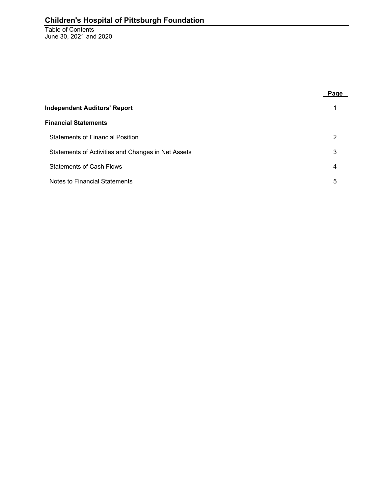Table of Contents June 30, 2021 and 2020

|                                                    | P <u>age</u> |
|----------------------------------------------------|--------------|
| <b>Independent Auditors' Report</b>                |              |
| <b>Financial Statements</b>                        |              |
| <b>Statements of Financial Position</b>            | 2            |
| Statements of Activities and Changes in Net Assets | 3            |
| <b>Statements of Cash Flows</b>                    | 4            |
| Notes to Financial Statements                      | 5            |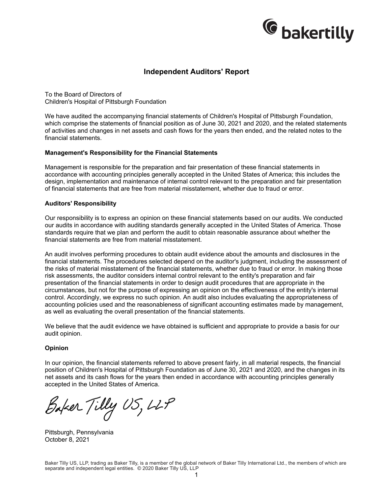

# **Independent Auditors' Report**

To the Board of Directors of Children's Hospital of Pittsburgh Foundation

We have audited the accompanying financial statements of Children's Hospital of Pittsburgh Foundation, which comprise the statements of financial position as of June 30, 2021 and 2020, and the related statements of activities and changes in net assets and cash flows for the years then ended, and the related notes to the financial statements.

#### **Management's Responsibility for the Financial Statements**

Management is responsible for the preparation and fair presentation of these financial statements in accordance with accounting principles generally accepted in the United States of America; this includes the design, implementation and maintenance of internal control relevant to the preparation and fair presentation of financial statements that are free from material misstatement, whether due to fraud or error.

#### **Auditors' Responsibility**

Our responsibility is to express an opinion on these financial statements based on our audits. We conducted our audits in accordance with auditing standards generally accepted in the United States of America. Those standards require that we plan and perform the audit to obtain reasonable assurance about whether the financial statements are free from material misstatement.

An audit involves performing procedures to obtain audit evidence about the amounts and disclosures in the financial statements. The procedures selected depend on the auditor's judgment, including the assessment of the risks of material misstatement of the financial statements, whether due to fraud or error. In making those risk assessments, the auditor considers internal control relevant to the entity's preparation and fair presentation of the financial statements in order to design audit procedures that are appropriate in the circumstances, but not for the purpose of expressing an opinion on the effectiveness of the entity's internal control. Accordingly, we express no such opinion. An audit also includes evaluating the appropriateness of accounting policies used and the reasonableness of significant accounting estimates made by management, as well as evaluating the overall presentation of the financial statements.

We believe that the audit evidence we have obtained is sufficient and appropriate to provide a basis for our audit opinion.

#### **Opinion**

In our opinion, the financial statements referred to above present fairly, in all material respects, the financial position of Children's Hospital of Pittsburgh Foundation as of June 30, 2021 and 2020, and the changes in its net assets and its cash flows for the years then ended in accordance with accounting principles generally accepted in the United States of America.

Baker Tilly US, LLP

Pittsburgh, Pennsylvania October 8, 2021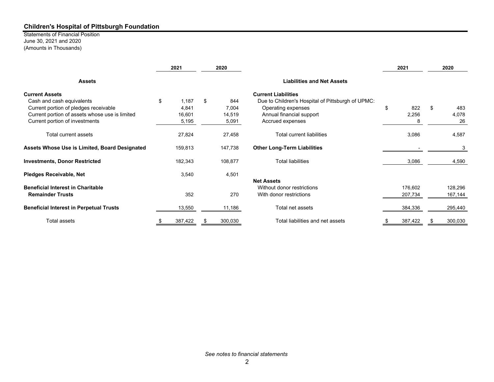June 30, 2021 and 2020 (Amounts in Thousands) Statements of Financial Position

|                                                | 2021          | 2020 |         |                                                   |    |         |     |         |  |  |  | 2021 |  | 2020 |
|------------------------------------------------|---------------|------|---------|---------------------------------------------------|----|---------|-----|---------|--|--|--|------|--|------|
| <b>Assets</b>                                  |               |      |         | <b>Liabilities and Net Assets</b>                 |    |         |     |         |  |  |  |      |  |      |
| <b>Current Assets</b>                          |               |      |         | <b>Current Liabilities</b>                        |    |         |     |         |  |  |  |      |  |      |
| Cash and cash equivalents                      | \$<br>1,187   | \$   | 844     | Due to Children's Hospital of Pittsburgh of UPMC: |    |         |     |         |  |  |  |      |  |      |
| Current portion of pledges receivable          | 4,841         |      | 7,004   | Operating expenses                                | \$ | 822     | \$. | 483     |  |  |  |      |  |      |
| Current portion of assets whose use is limited | 16,601        |      | 14,519  | Annual financial support                          |    | 2,256   |     | 4,078   |  |  |  |      |  |      |
| Current portion of investments                 | 5,195         |      | 5,091   | Accrued expenses                                  |    | 8       |     | 26      |  |  |  |      |  |      |
| Total current assets                           | 27,824        |      | 27,458  | Total current liabilities                         |    | 3,086   |     | 4,587   |  |  |  |      |  |      |
| Assets Whose Use is Limited, Board Designated  | 159,813       |      | 147,738 | <b>Other Long-Term Liabilities</b>                |    |         |     | 3       |  |  |  |      |  |      |
| <b>Investments, Donor Restricted</b>           | 182,343       |      | 108,877 | <b>Total liabilities</b>                          |    | 3,086   |     | 4,590   |  |  |  |      |  |      |
| <b>Pledges Receivable, Net</b>                 | 3,540         |      | 4,501   |                                                   |    |         |     |         |  |  |  |      |  |      |
|                                                |               |      |         | <b>Net Assets</b>                                 |    |         |     |         |  |  |  |      |  |      |
| <b>Beneficial Interest in Charitable</b>       |               |      |         | Without donor restrictions                        |    | 176,602 |     | 128,296 |  |  |  |      |  |      |
| <b>Remainder Trusts</b>                        | 352           |      | 270     | With donor restrictions                           |    | 207,734 |     | 167,144 |  |  |  |      |  |      |
| <b>Beneficial Interest in Perpetual Trusts</b> | 13,550        |      | 11,186  | Total net assets                                  |    | 384,336 |     | 295,440 |  |  |  |      |  |      |
| Total assets                                   | \$<br>387,422 | \$   | 300,030 | Total liabilities and net assets                  | \$ | 387,422 | S   | 300,030 |  |  |  |      |  |      |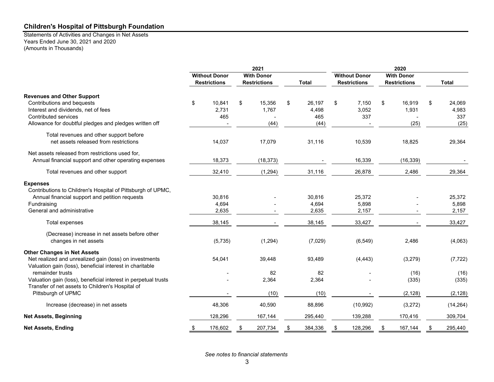Years Ended June 30, 2021 and 2020 (Amounts in Thousands) Statements of Activities and Changes in Net Assets

|                                                                                                                    | 2021 |                      |    |                     | 2020 |              |                      |                     |                   |                     |               |
|--------------------------------------------------------------------------------------------------------------------|------|----------------------|----|---------------------|------|--------------|----------------------|---------------------|-------------------|---------------------|---------------|
|                                                                                                                    |      | <b>Without Donor</b> |    | <b>With Donor</b>   |      |              | <b>Without Donor</b> |                     | <b>With Donor</b> |                     |               |
|                                                                                                                    |      | <b>Restrictions</b>  |    | <b>Restrictions</b> |      | <b>Total</b> |                      | <b>Restrictions</b> |                   | <b>Restrictions</b> | <b>Total</b>  |
| <b>Revenues and Other Support</b>                                                                                  |      |                      |    |                     |      |              |                      |                     |                   |                     |               |
| Contributions and bequests                                                                                         | \$   | 10.841               | \$ | 15,356              | \$   | 26,197       | \$                   | 7,150               | \$                | 16,919              | \$<br>24,069  |
| Interest and dividends, net of fees                                                                                |      | 2,731                |    | 1,767               |      | 4,498        |                      | 3,052               |                   | 1,931               | 4,983         |
| Contributed services                                                                                               |      | 465                  |    |                     |      | 465          |                      | 337                 |                   |                     | 337           |
| Allowance for doubtful pledges and pledges written off                                                             |      |                      |    | (44)                |      | (44)         |                      |                     |                   | (25)                | (25)          |
| Total revenues and other support before                                                                            |      |                      |    |                     |      |              |                      |                     |                   |                     |               |
| net assets released from restrictions                                                                              |      | 14,037               |    | 17,079              |      | 31,116       |                      | 10,539              |                   | 18,825              | 29,364        |
| Net assets released from restrictions used for,                                                                    |      |                      |    |                     |      |              |                      |                     |                   |                     |               |
| Annual financial support and other operating expenses                                                              |      | 18,373               |    | (18, 373)           |      |              |                      | 16,339              |                   | (16, 339)           |               |
| Total revenues and other support                                                                                   |      | 32,410               |    | (1, 294)            |      | 31,116       |                      | 26,878              |                   | 2,486               | 29,364        |
| <b>Expenses</b>                                                                                                    |      |                      |    |                     |      |              |                      |                     |                   |                     |               |
| Contributions to Children's Hospital of Pittsburgh of UPMC,                                                        |      |                      |    |                     |      |              |                      |                     |                   |                     |               |
| Annual financial support and petition requests                                                                     |      | 30,816               |    |                     |      | 30,816       |                      | 25,372              |                   |                     | 25,372        |
| Fundraising                                                                                                        |      | 4,694                |    |                     |      | 4,694        |                      | 5,898               |                   |                     | 5,898         |
| General and administrative                                                                                         |      | 2,635                |    |                     |      | 2,635        |                      | 2,157               |                   |                     | 2,157         |
| Total expenses                                                                                                     |      | 38,145               |    |                     |      | 38,145       |                      | 33,427              |                   |                     | 33,427        |
| (Decrease) increase in net assets before other                                                                     |      |                      |    |                     |      |              |                      |                     |                   |                     |               |
| changes in net assets                                                                                              |      | (5,735)              |    | (1, 294)            |      | (7,029)      |                      | (6, 549)            |                   | 2,486               | (4,063)       |
| <b>Other Changes in Net Assets</b>                                                                                 |      |                      |    |                     |      |              |                      |                     |                   |                     |               |
| Net realized and unrealized gain (loss) on investments<br>Valuation gain (loss), beneficial interest in charitable |      | 54,041               |    | 39,448              |      | 93,489       |                      | (4, 443)            |                   | (3,279)             | (7, 722)      |
| remainder trusts                                                                                                   |      |                      |    | 82                  |      | 82           |                      |                     |                   | (16)                | (16)          |
| Valuation gain (loss), beneficial interest in perpetual trusts                                                     |      |                      |    | 2,364               |      | 2,364        |                      |                     |                   | (335)               | (335)         |
| Transfer of net assets to Children's Hospital of                                                                   |      |                      |    |                     |      |              |                      |                     |                   |                     |               |
| Pittsburgh of UPMC                                                                                                 |      |                      |    | (10)                |      | (10)         |                      |                     |                   | (2, 128)            | (2, 128)      |
| Increase (decrease) in net assets                                                                                  |      | 48,306               |    | 40,590              |      | 88,896       |                      | (10, 992)           |                   | (3,272)             | (14, 264)     |
| <b>Net Assets, Beginning</b>                                                                                       |      | 128,296              |    | 167,144             |      | 295,440      |                      | 139,288             |                   | 170,416             | 309,704       |
| <b>Net Assets, Ending</b>                                                                                          | \$   | 176,602              | \$ | 207,734             | \$   | 384,336      | \$                   | 128,296             | \$                | 167,144             | \$<br>295,440 |

*See notes to financial statements*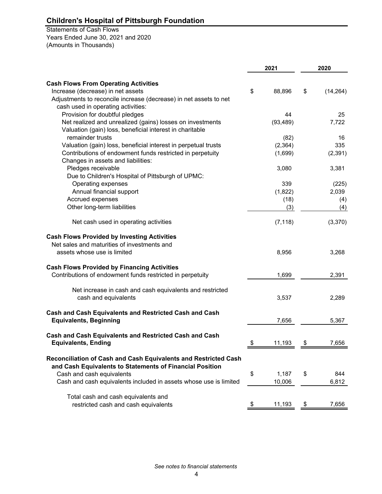Statements of Cash Flows Years Ended June 30, 2021 and 2020 (Amounts in Thousands)

|                                                                   | 2021         |    | 2020      |
|-------------------------------------------------------------------|--------------|----|-----------|
| <b>Cash Flows From Operating Activities</b>                       |              |    |           |
| Increase (decrease) in net assets                                 | \$<br>88,896 | \$ | (14, 264) |
| Adjustments to reconcile increase (decrease) in net assets to net |              |    |           |
| cash used in operating activities:                                |              |    |           |
| Provision for doubtful pledges                                    | 44           |    | 25        |
| Net realized and unrealized (gains) losses on investments         | (93, 489)    |    | 7,722     |
| Valuation (gain) loss, beneficial interest in charitable          |              |    |           |
| remainder trusts                                                  | (82)         |    | 16        |
| Valuation (gain) loss, beneficial interest in perpetual trusts    | (2, 364)     |    | 335       |
| Contributions of endowment funds restricted in perpetuity         | (1,699)      |    | (2, 391)  |
| Changes in assets and liabilities:                                |              |    |           |
| Pledges receivable                                                | 3,080        |    | 3,381     |
| Due to Children's Hospital of Pittsburgh of UPMC:                 |              |    |           |
| Operating expenses                                                | 339          |    | (225)     |
| Annual financial support                                          | (1,822)      |    | 2,039     |
| Accrued expenses                                                  | (18)         |    | (4)       |
| Other long-term liabilities                                       | (3)          |    | (4)       |
| Net cash used in operating activities                             | (7, 118)     |    | (3,370)   |
| <b>Cash Flows Provided by Investing Activities</b>                |              |    |           |
| Net sales and maturities of investments and                       |              |    |           |
| assets whose use is limited                                       | 8,956        |    | 3,268     |
|                                                                   |              |    |           |
| <b>Cash Flows Provided by Financing Activities</b>                |              |    |           |
| Contributions of endowment funds restricted in perpetuity         | 1,699        |    | 2,391     |
| Net increase in cash and cash equivalents and restricted          |              |    |           |
| cash and equivalents                                              | 3,537        |    | 2,289     |
|                                                                   |              |    |           |
| Cash and Cash Equivalents and Restricted Cash and Cash            |              |    |           |
| <b>Equivalents, Beginning</b>                                     | 7,656        |    | 5,367     |
| Cash and Cash Equivalents and Restricted Cash and Cash            |              |    |           |
| <b>Equivalents, Ending</b>                                        | \$<br>11,193 | \$ | 7,656     |
| Reconciliation of Cash and Cash Equivalents and Restricted Cash   |              |    |           |
| and Cash Equivalents to Statements of Financial Position          |              |    |           |
| Cash and cash equivalents                                         | \$<br>1,187  | \$ | 844       |
| Cash and cash equivalents included in assets whose use is limited | 10,006       |    | 6,812     |
|                                                                   |              |    |           |
| Total cash and cash equivalents and                               |              |    |           |
| restricted cash and cash equivalents                              | \$<br>11,193 | \$ | 7,656     |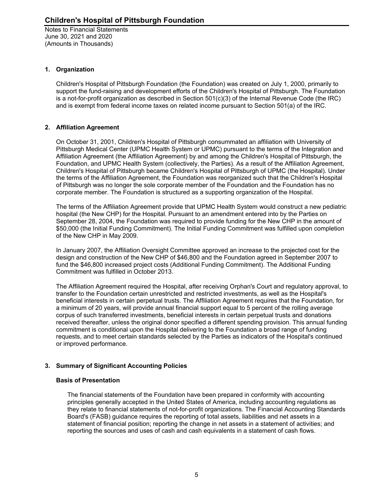# **1. Organization**

Children's Hospital of Pittsburgh Foundation (the Foundation) was created on July 1, 2000, primarily to support the fund-raising and development efforts of the Children's Hospital of Pittsburgh. The Foundation is a not-for-profit organization as described in Section 501(c)(3) of the Internal Revenue Code (the IRC) and is exempt from federal income taxes on related income pursuant to Section 501(a) of the IRC.

# **2. Affiliation Agreement**

On October 31, 2001, Children's Hospital of Pittsburgh consummated an affiliation with University of Pittsburgh Medical Center (UPMC Health System or UPMC) pursuant to the terms of the Integration and Affiliation Agreement (the Affiliation Agreement) by and among the Children's Hospital of Pittsburgh, the Foundation, and UPMC Health System (collectively, the Parties). As a result of the Affiliation Agreement, Children's Hospital of Pittsburgh became Children's Hospital of Pittsburgh of UPMC (the Hospital). Under the terms of the Affiliation Agreement, the Foundation was reorganized such that the Children's Hospital of Pittsburgh was no longer the sole corporate member of the Foundation and the Foundation has no corporate member. The Foundation is structured as a supporting organization of the Hospital.

The terms of the Affiliation Agreement provide that UPMC Health System would construct a new pediatric hospital (the New CHP) for the Hospital. Pursuant to an amendment entered into by the Parties on September 28, 2004, the Foundation was required to provide funding for the New CHP in the amount of \$50,000 (the Initial Funding Commitment). The Initial Funding Commitment was fulfilled upon completion of the New CHP in May 2009.

In January 2007, the Affiliation Oversight Committee approved an increase to the projected cost for the design and construction of the New CHP of \$46,800 and the Foundation agreed in September 2007 to fund the \$46,800 increased project costs (Additional Funding Commitment). The Additional Funding Commitment was fulfilled in October 2013.

The Affiliation Agreement required the Hospital, after receiving Orphan's Court and regulatory approval, to transfer to the Foundation certain unrestricted and restricted investments, as well as the Hospital's beneficial interests in certain perpetual trusts. The Affiliation Agreement requires that the Foundation, for a minimum of 20 years, will provide annual financial support equal to 5 percent of the rolling average corpus of such transferred investments, beneficial interests in certain perpetual trusts and donations received thereafter, unless the original donor specified a different spending provision. This annual funding commitment is conditional upon the Hospital delivering to the Foundation a broad range of funding requests, and to meet certain standards selected by the Parties as indicators of the Hospital's continued or improved performance.

# **3. Summary of Significant Accounting Policies**

# **Basis of Presentation**

The financial statements of the Foundation have been prepared in conformity with accounting principles generally accepted in the United States of America, including accounting regulations as they relate to financial statements of not-for-profit organizations. The Financial Accounting Standards Board's (FASB) guidance requires the reporting of total assets, liabilities and net assets in a statement of financial position; reporting the change in net assets in a statement of activities; and reporting the sources and uses of cash and cash equivalents in a statement of cash flows.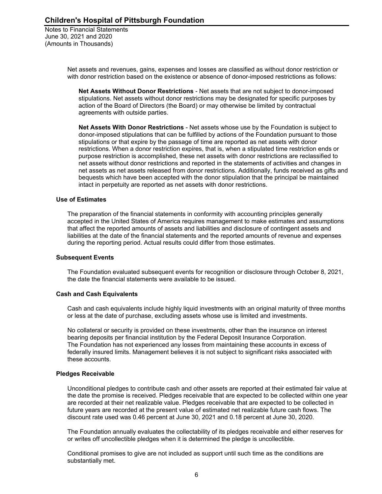> Net assets and revenues, gains, expenses and losses are classified as without donor restriction or with donor restriction based on the existence or absence of donor-imposed restrictions as follows:

**Net Assets Without Donor Restrictions** - Net assets that are not subject to donor-imposed stipulations. Net assets without donor restrictions may be designated for specific purposes by action of the Board of Directors (the Board) or may otherwise be limited by contractual agreements with outside parties.

**Net Assets With Donor Restrictions** - Net assets whose use by the Foundation is subject to donor-imposed stipulations that can be fulfilled by actions of the Foundation pursuant to those stipulations or that expire by the passage of time are reported as net assets with donor restrictions. When a donor restriction expires, that is, when a stipulated time restriction ends or purpose restriction is accomplished, these net assets with donor restrictions are reclassified to net assets without donor restrictions and reported in the statements of activities and changes in net assets as net assets released from donor restrictions. Additionally, funds received as gifts and bequests which have been accepted with the donor stipulation that the principal be maintained intact in perpetuity are reported as net assets with donor restrictions.

#### **Use of Estimates**

The preparation of the financial statements in conformity with accounting principles generally accepted in the United States of America requires management to make estimates and assumptions that affect the reported amounts of assets and liabilities and disclosure of contingent assets and liabilities at the date of the financial statements and the reported amounts of revenue and expenses during the reporting period. Actual results could differ from those estimates.

#### **Subsequent Events**

The Foundation evaluated subsequent events for recognition or disclosure through October 8, 2021, the date the financial statements were available to be issued.

#### **Cash and Cash Equivalents**

Cash and cash equivalents include highly liquid investments with an original maturity of three months or less at the date of purchase, excluding assets whose use is limited and investments.

No collateral or security is provided on these investments, other than the insurance on interest bearing deposits per financial institution by the Federal Deposit Insurance Corporation. The Foundation has not experienced any losses from maintaining these accounts in excess of federally insured limits. Management believes it is not subject to significant risks associated with these accounts.

#### **Pledges Receivable**

Unconditional pledges to contribute cash and other assets are reported at their estimated fair value at the date the promise is received. Pledges receivable that are expected to be collected within one year are recorded at their net realizable value. Pledges receivable that are expected to be collected in future years are recorded at the present value of estimated net realizable future cash flows. The discount rate used was 0.46 percent at June 30, 2021 and 0.18 percent at June 30, 2020.

The Foundation annually evaluates the collectability of its pledges receivable and either reserves for or writes off uncollectible pledges when it is determined the pledge is uncollectible.

Conditional promises to give are not included as support until such time as the conditions are substantially met.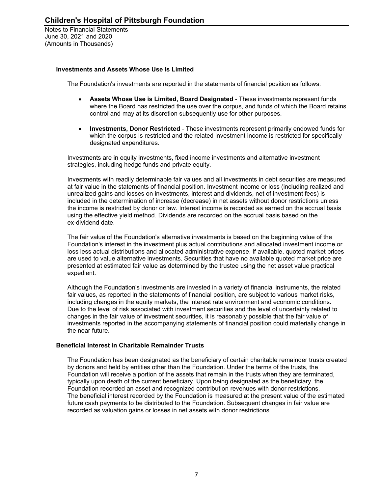## **Investments and Assets Whose Use Is Limited**

The Foundation's investments are reported in the statements of financial position as follows:

- **Assets Whose Use is Limited, Board Designated** These investments represent funds where the Board has restricted the use over the corpus, and funds of which the Board retains control and may at its discretion subsequently use for other purposes.
- **Investments, Donor Restricted** These investments represent primarily endowed funds for which the corpus is restricted and the related investment income is restricted for specifically designated expenditures.

Investments are in equity investments, fixed income investments and alternative investment strategies, including hedge funds and private equity.

Investments with readily determinable fair values and all investments in debt securities are measured at fair value in the statements of financial position. Investment income or loss (including realized and unrealized gains and losses on investments, interest and dividends, net of investment fees) is included in the determination of increase (decrease) in net assets without donor restrictions unless the income is restricted by donor or law. Interest income is recorded as earned on the accrual basis using the effective yield method. Dividends are recorded on the accrual basis based on the ex-dividend date.

The fair value of the Foundation's alternative investments is based on the beginning value of the Foundation's interest in the investment plus actual contributions and allocated investment income or loss less actual distributions and allocated administrative expense. If available, quoted market prices are used to value alternative investments. Securities that have no available quoted market price are presented at estimated fair value as determined by the trustee using the net asset value practical expedient.

Although the Foundation's investments are invested in a variety of financial instruments, the related fair values, as reported in the statements of financial position, are subject to various market risks, including changes in the equity markets, the interest rate environment and economic conditions. Due to the level of risk associated with investment securities and the level of uncertainty related to changes in the fair value of investment securities, it is reasonably possible that the fair value of investments reported in the accompanying statements of financial position could materially change in the near future.

# **Beneficial Interest in Charitable Remainder Trusts**

The Foundation has been designated as the beneficiary of certain charitable remainder trusts created by donors and held by entities other than the Foundation. Under the terms of the trusts, the Foundation will receive a portion of the assets that remain in the trusts when they are terminated, typically upon death of the current beneficiary. Upon being designated as the beneficiary, the Foundation recorded an asset and recognized contribution revenues with donor restrictions. The beneficial interest recorded by the Foundation is measured at the present value of the estimated future cash payments to be distributed to the Foundation. Subsequent changes in fair value are recorded as valuation gains or losses in net assets with donor restrictions.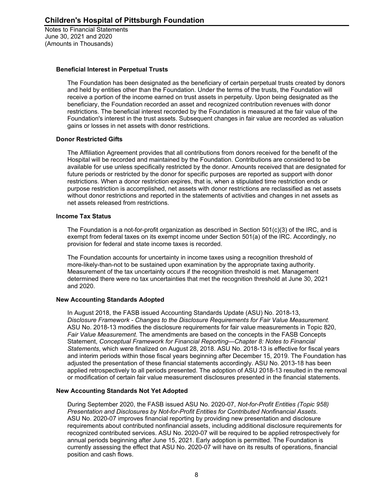#### **Beneficial Interest in Perpetual Trusts**

The Foundation has been designated as the beneficiary of certain perpetual trusts created by donors and held by entities other than the Foundation. Under the terms of the trusts, the Foundation will receive a portion of the income earned on trust assets in perpetuity. Upon being designated as the beneficiary, the Foundation recorded an asset and recognized contribution revenues with donor restrictions. The beneficial interest recorded by the Foundation is measured at the fair value of the Foundation's interest in the trust assets. Subsequent changes in fair value are recorded as valuation gains or losses in net assets with donor restrictions.

# **Donor Restricted Gifts**

The Affiliation Agreement provides that all contributions from donors received for the benefit of the Hospital will be recorded and maintained by the Foundation. Contributions are considered to be available for use unless specifically restricted by the donor. Amounts received that are designated for future periods or restricted by the donor for specific purposes are reported as support with donor restrictions. When a donor restriction expires, that is, when a stipulated time restriction ends or purpose restriction is accomplished, net assets with donor restrictions are reclassified as net assets without donor restrictions and reported in the statements of activities and changes in net assets as net assets released from restrictions.

## **Income Tax Status**

The Foundation is a not-for-profit organization as described in Section 501(c)(3) of the IRC, and is exempt from federal taxes on its exempt income under Section 501(a) of the IRC. Accordingly, no provision for federal and state income taxes is recorded.

The Foundation accounts for uncertainty in income taxes using a recognition threshold of more-likely-than-not to be sustained upon examination by the appropriate taxing authority. Measurement of the tax uncertainty occurs if the recognition threshold is met. Management determined there were no tax uncertainties that met the recognition threshold at June 30, 2021 and 2020.

# **New Accounting Standards Adopted**

In August 2018, the FASB issued Accounting Standards Update (ASU) No. 2018-13, *Disclosure Framework - Changes to the Disclosure Requirements for Fair Value Measurement.*  ASU No. 2018-13 modifies the disclosure requirements for fair value measurements in Topic 820, *Fair Value Measurement*. The amendments are based on the concepts in the FASB Concepts Statement, *Conceptual Framework for Financial Reporting—Chapter 8: Notes to Financial Statements*, which were finalized on August 28, 2018. ASU No. 2018-13 is effective for fiscal years and interim periods within those fiscal years beginning after December 15, 2019. The Foundation has adjusted the presentation of these financial statements accordingly. ASU No. 2013-18 has been applied retrospectively to all periods presented. The adoption of ASU 2018-13 resulted in the removal or modification of certain fair value measurement disclosures presented in the financial statements.

# **New Accounting Standards Not Yet Adopted**

During September 2020, the FASB issued ASU No. 2020-07, *Not-for-Profit Entities (Topic 958) Presentation and Disclosures by Not-for-Profit Entities for Contributed Nonfinancial Assets*. ASU No. 2020-07 improves financial reporting by providing new presentation and disclosure requirements about contributed nonfinancial assets, including additional disclosure requirements for recognized contributed services. ASU No. 2020-07 will be required to be applied retrospectively for annual periods beginning after June 15, 2021. Early adoption is permitted. The Foundation is currently assessing the effect that ASU No. 2020-07 will have on its results of operations, financial position and cash flows.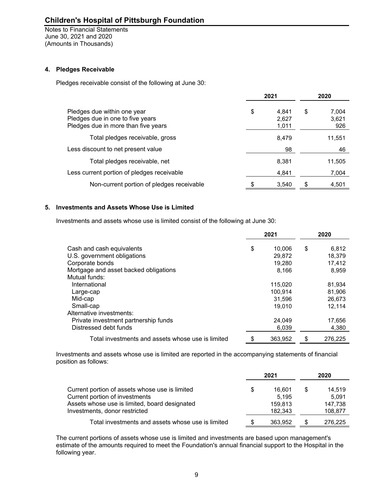Notes to Financial Statements June 30, 2021 and 2020 (Amounts in Thousands)

#### **4. Pledges Receivable**

Pledges receivable consist of the following at June 30:

|                                                                                                        | 2021                          | 2020 |                       |  |
|--------------------------------------------------------------------------------------------------------|-------------------------------|------|-----------------------|--|
| Pledges due within one year<br>Pledges due in one to five years<br>Pledges due in more than five years | \$<br>4.841<br>2,627<br>1,011 | \$   | 7,004<br>3,621<br>926 |  |
| Total pledges receivable, gross                                                                        | 8,479                         |      | 11,551                |  |
| Less discount to net present value                                                                     | 98                            |      | 46                    |  |
| Total pledges receivable, net                                                                          | 8,381                         |      | 11,505                |  |
| Less current portion of pledges receivable                                                             | 4,841                         |      | 7,004                 |  |
| Non-current portion of pledges receivable                                                              | 3.540                         |      | 4,501                 |  |
|                                                                                                        |                               |      |                       |  |

# **5. Investments and Assets Whose Use is Limited**

Investments and assets whose use is limited consist of the following at June 30:

|                                                   | 2021          | 2020          |  |
|---------------------------------------------------|---------------|---------------|--|
| Cash and cash equivalents                         | \$<br>10.006  | \$<br>6,812   |  |
| U.S. government obligations                       | 29,872        | 18.379        |  |
| Corporate bonds                                   | 19.280        | 17,412        |  |
| Mortgage and asset backed obligations             | 8,166         | 8,959         |  |
| Mutual funds:                                     |               |               |  |
| International                                     | 115,020       | 81,934        |  |
| Large-cap                                         | 100.914       | 81.906        |  |
| Mid-cap                                           | 31,596        | 26,673        |  |
| Small-cap                                         | 19.010        | 12.114        |  |
| Alternative investments:                          |               |               |  |
| Private investment partnership funds              | 24,049        | 17,656        |  |
| Distressed debt funds                             | 6,039         | 4,380         |  |
| Total investments and assets whose use is limited | \$<br>363,952 | \$<br>276.225 |  |

Investments and assets whose use is limited are reported in the accompanying statements of financial position as follows:

|                                                   |    | 2021    | 2020 |         |  |
|---------------------------------------------------|----|---------|------|---------|--|
| Current portion of assets whose use is limited    | S. | 16.601  | S    | 14.519  |  |
| Current portion of investments                    |    | 5.195   |      | 5.091   |  |
| Assets whose use is limited, board designated     |    | 159,813 |      | 147,738 |  |
| Investments, donor restricted                     |    | 182.343 |      | 108.877 |  |
| Total investments and assets whose use is limited |    | 363.952 | S    | 276.225 |  |

The current portions of assets whose use is limited and investments are based upon management's estimate of the amounts required to meet the Foundation's annual financial support to the Hospital in the following year.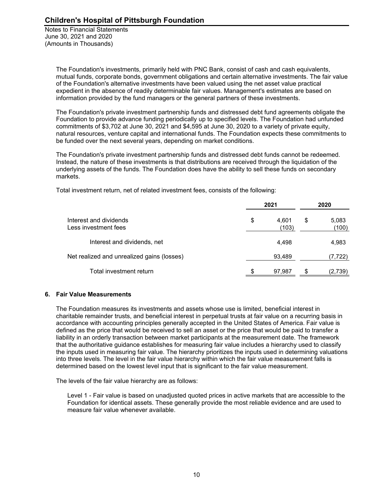Notes to Financial Statements June 30, 2021 and 2020 (Amounts in Thousands)

> The Foundation's investments, primarily held with PNC Bank, consist of cash and cash equivalents, mutual funds, corporate bonds, government obligations and certain alternative investments. The fair value of the Foundation's alternative investments have been valued using the net asset value practical expedient in the absence of readily determinable fair values. Management's estimates are based on information provided by the fund managers or the general partners of these investments.

> The Foundation's private investment partnership funds and distressed debt fund agreements obligate the Foundation to provide advance funding periodically up to specified levels. The Foundation had unfunded commitments of \$3,702 at June 30, 2021 and \$4,595 at June 30, 2020 to a variety of private equity, natural resources, venture capital and international funds. The Foundation expects these commitments to be funded over the next several years, depending on market conditions.

The Foundation's private investment partnership funds and distressed debt funds cannot be redeemed. Instead, the nature of these investments is that distributions are received through the liquidation of the underlying assets of the funds. The Foundation does have the ability to sell these funds on secondary markets.

Total investment return, net of related investment fees, consists of the following:

|                                                | 2021 | 2020           |    |                |
|------------------------------------------------|------|----------------|----|----------------|
| Interest and dividends<br>Less investment fees | \$   | 4.601<br>(103) | \$ | 5,083<br>(100) |
| Interest and dividends, net                    |      | 4,498          |    | 4,983          |
| Net realized and unrealized gains (losses)     |      | 93,489         |    | (7, 722)       |
| Total investment return                        |      | 97,987         |    | (2,739)        |

#### **6. Fair Value Measurements**

The Foundation measures its investments and assets whose use is limited, beneficial interest in charitable remainder trusts, and beneficial interest in perpetual trusts at fair value on a recurring basis in accordance with accounting principles generally accepted in the United States of America. Fair value is defined as the price that would be received to sell an asset or the price that would be paid to transfer a liability in an orderly transaction between market participants at the measurement date. The framework that the authoritative guidance establishes for measuring fair value includes a hierarchy used to classify the inputs used in measuring fair value. The hierarchy prioritizes the inputs used in determining valuations into three levels. The level in the fair value hierarchy within which the fair value measurement falls is determined based on the lowest level input that is significant to the fair value measurement.

The levels of the fair value hierarchy are as follows:

Level 1 - Fair value is based on unadjusted quoted prices in active markets that are accessible to the Foundation for identical assets. These generally provide the most reliable evidence and are used to measure fair value whenever available.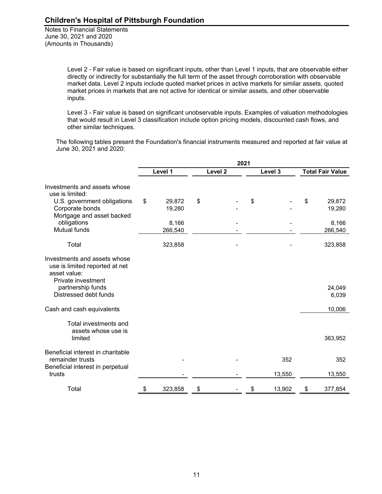> Level 2 - Fair value is based on significant inputs, other than Level 1 inputs, that are observable either directly or indirectly for substantially the full term of the asset through corroboration with observable market data. Level 2 inputs include quoted market prices in active markets for similar assets, quoted market prices in markets that are not active for identical or similar assets, and other observable inputs.

> Level 3 - Fair value is based on significant unobservable inputs. Examples of valuation methodologies that would result in Level 3 classification include option pricing models, discounted cash flows, and other similar techniques.

The following tables present the Foundation's financial instruments measured and reported at fair value at June 30, 2021 and 2020:

|                                                                                                      |                        |                    | 2021 |         |                         |
|------------------------------------------------------------------------------------------------------|------------------------|--------------------|------|---------|-------------------------|
|                                                                                                      | Level 1                | Level <sub>2</sub> |      | Level 3 | <b>Total Fair Value</b> |
| Investments and assets whose<br>use is limited:                                                      |                        |                    |      |         |                         |
| U.S. government obligations<br>Corporate bonds                                                       | \$<br>29,872<br>19,280 | \$                 | \$   |         | \$<br>29,872<br>19,280  |
| Mortgage and asset backed<br>obligations                                                             | 8,166                  |                    |      |         | 8,166                   |
| <b>Mutual funds</b>                                                                                  | 266,540                |                    |      |         | 266,540                 |
| Total                                                                                                | 323,858                |                    |      |         | 323,858                 |
| Investments and assets whose<br>use is limited reported at net<br>asset value:<br>Private investment |                        |                    |      |         |                         |
| partnership funds<br>Distressed debt funds                                                           |                        |                    |      |         | 24,049<br>6,039         |
| Cash and cash equivalents                                                                            |                        |                    |      |         | 10,006                  |
| Total investments and<br>assets whose use is                                                         |                        |                    |      |         |                         |
| limited                                                                                              |                        |                    |      |         | 363,952                 |
| Beneficial interest in charitable<br>remainder trusts<br>Beneficial interest in perpetual            |                        |                    |      | 352     | 352                     |
| trusts                                                                                               |                        |                    |      | 13,550  | 13,550                  |
| Total                                                                                                | \$<br>323,858          | \$                 | \$   | 13,902  | \$<br>377,854           |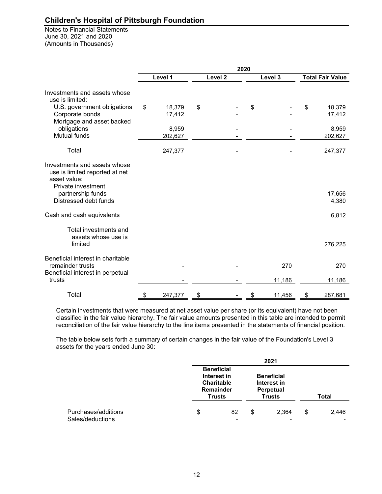Notes to Financial Statements June 30, 2021 and 2020 (Amounts in Thousands)

|                                                                                                                           | 2020 |                  |    |                    |    |         |    |                         |
|---------------------------------------------------------------------------------------------------------------------------|------|------------------|----|--------------------|----|---------|----|-------------------------|
|                                                                                                                           |      | Level 1          |    | Level <sub>2</sub> |    | Level 3 |    | <b>Total Fair Value</b> |
| Investments and assets whose<br>use is limited:                                                                           |      |                  |    |                    |    |         |    |                         |
| U.S. government obligations<br>Corporate bonds                                                                            | \$   | 18,379<br>17,412 | \$ |                    | \$ |         | \$ | 18,379<br>17,412        |
| Mortgage and asset backed<br>obligations<br><b>Mutual funds</b>                                                           |      | 8,959<br>202,627 |    |                    |    |         |    | 8,959<br>202,627        |
| Total                                                                                                                     |      | 247,377          |    |                    |    |         |    | 247,377                 |
| Investments and assets whose<br>use is limited reported at net<br>asset value:<br>Private investment<br>partnership funds |      |                  |    |                    |    |         |    | 17,656                  |
| Distressed debt funds                                                                                                     |      |                  |    |                    |    |         |    | 4,380                   |
| Cash and cash equivalents                                                                                                 |      |                  |    |                    |    |         |    | 6,812                   |
| Total investments and<br>assets whose use is<br>limited                                                                   |      |                  |    |                    |    |         |    | 276,225                 |
| Beneficial interest in charitable<br>remainder trusts<br>Beneficial interest in perpetual                                 |      |                  |    |                    |    | 270     |    | 270                     |
| trusts                                                                                                                    |      |                  |    |                    |    | 11,186  |    | 11,186                  |
| Total                                                                                                                     | \$   | 247,377          | \$ |                    | \$ | 11,456  | \$ | 287,681                 |

Certain investments that were measured at net asset value per share (or its equivalent) have not been classified in the fair value hierarchy. The fair value amounts presented in this table are intended to permit reconciliation of the fair value hierarchy to the line items presented in the statements of financial position.

The table below sets forth a summary of certain changes in the fair value of the Foundation's Level 3 assets for the years ended June 30:

|                                         |                                                                                     |    | 2021                                                           |    |              |  |
|-----------------------------------------|-------------------------------------------------------------------------------------|----|----------------------------------------------------------------|----|--------------|--|
|                                         | <b>Beneficial</b><br>Interest in<br><b>Charitable</b><br>Remainder<br><b>Trusts</b> |    | <b>Beneficial</b><br>Interest in<br>Perpetual<br><b>Trusts</b> |    | <b>Total</b> |  |
| Purchases/additions<br>Sales/deductions | \$<br>82<br>-                                                                       | \$ | 2.364<br>۰                                                     | \$ | 2,446        |  |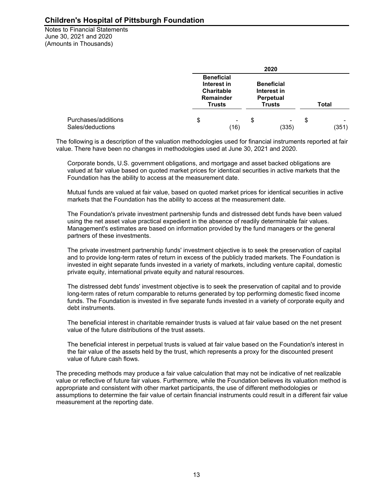Notes to Financial Statements June 30, 2021 and 2020 (Amounts in Thousands)

|                                         |    | 2020                                                                                |    |                                                                |              |            |
|-----------------------------------------|----|-------------------------------------------------------------------------------------|----|----------------------------------------------------------------|--------------|------------|
|                                         |    | <b>Beneficial</b><br>Interest in<br><b>Charitable</b><br>Remainder<br><b>Trusts</b> |    | <b>Beneficial</b><br>Interest in<br>Perpetual<br><b>Trusts</b> | <b>Total</b> |            |
| Purchases/additions<br>Sales/deductions | \$ | ٠<br>(16)                                                                           | \$ | (335)                                                          | \$           | ۰<br>(351) |

The following is a description of the valuation methodologies used for financial instruments reported at fair value. There have been no changes in methodologies used at June 30, 2021 and 2020.

Corporate bonds, U.S. government obligations, and mortgage and asset backed obligations are valued at fair value based on quoted market prices for identical securities in active markets that the Foundation has the ability to access at the measurement date.

Mutual funds are valued at fair value, based on quoted market prices for identical securities in active markets that the Foundation has the ability to access at the measurement date.

The Foundation's private investment partnership funds and distressed debt funds have been valued using the net asset value practical expedient in the absence of readily determinable fair values. Management's estimates are based on information provided by the fund managers or the general partners of these investments.

The private investment partnership funds' investment objective is to seek the preservation of capital and to provide long-term rates of return in excess of the publicly traded markets. The Foundation is invested in eight separate funds invested in a variety of markets, including venture capital, domestic private equity, international private equity and natural resources.

The distressed debt funds' investment objective is to seek the preservation of capital and to provide long-term rates of return comparable to returns generated by top performing domestic fixed income funds. The Foundation is invested in five separate funds invested in a variety of corporate equity and debt instruments.

The beneficial interest in charitable remainder trusts is valued at fair value based on the net present value of the future distributions of the trust assets.

The beneficial interest in perpetual trusts is valued at fair value based on the Foundation's interest in the fair value of the assets held by the trust, which represents a proxy for the discounted present value of future cash flows.

The preceding methods may produce a fair value calculation that may not be indicative of net realizable value or reflective of future fair values. Furthermore, while the Foundation believes its valuation method is appropriate and consistent with other market participants, the use of different methodologies or assumptions to determine the fair value of certain financial instruments could result in a different fair value measurement at the reporting date.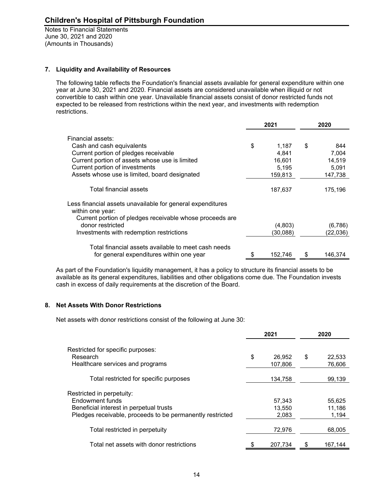## **7. Liquidity and Availability of Resources**

The following table reflects the Foundation's financial assets available for general expenditure within one year at June 30, 2021 and 2020. Financial assets are considered unavailable when illiquid or not convertible to cash within one year. Unavailable financial assets consist of donor restricted funds not expected to be released from restrictions within the next year, and investments with redemption restrictions.

|                                                            | 2021        |    | 2020     |  |
|------------------------------------------------------------|-------------|----|----------|--|
| Financial assets:                                          |             |    |          |  |
| Cash and cash equivalents                                  | \$<br>1,187 | \$ | 844      |  |
| Current portion of pledges receivable                      | 4,841       |    | 7,004    |  |
| Current portion of assets whose use is limited             | 16,601      |    | 14,519   |  |
| Current portion of investments                             | 5,195       |    | 5,091    |  |
| Assets whose use is limited, board designated              | 159,813     |    | 147,738  |  |
| Total financial assets                                     | 187,637     |    | 175,196  |  |
| Less financial assets unavailable for general expenditures |             |    |          |  |
| within one year:                                           |             |    |          |  |
| Current portion of pledges receivable whose proceeds are   |             |    |          |  |
| donor restricted                                           | (4,803)     |    | (6,786)  |  |
| Investments with redemption restrictions                   | (30, 088)   |    | (22,036) |  |
| Total financial assets available to meet cash needs        |             |    |          |  |
| for general expenditures within one year                   | 152,746     | \$ | 146,374  |  |

As part of the Foundation's liquidity management, it has a policy to structure its financial assets to be available as its general expenditures, liabilities and other obligations come due. The Foundation invests cash in excess of daily requirements at the discretion of the Board.

# **8. Net Assets With Donor Restrictions**

Net assets with donor restrictions consist of the following at June 30:

|                                                           | 2021         | 2020          |  |
|-----------------------------------------------------------|--------------|---------------|--|
| Restricted for specific purposes:<br>Research             | \$<br>26,952 | \$<br>22,533  |  |
| Healthcare services and programs                          | 107,806      | 76,606        |  |
| Total restricted for specific purposes                    | 134,758      | 99,139        |  |
| Restricted in perpetuity:                                 |              |               |  |
| Endowment funds                                           | 57,343       | 55,625        |  |
| Beneficial interest in perpetual trusts                   | 13,550       | 11,186        |  |
| Pledges receivable, proceeds to be permanently restricted | 2,083        | 1,194         |  |
|                                                           |              |               |  |
| Total restricted in perpetuity                            | 72,976       | 68.005        |  |
| Total net assets with donor restrictions                  | 207.734      | \$<br>167.144 |  |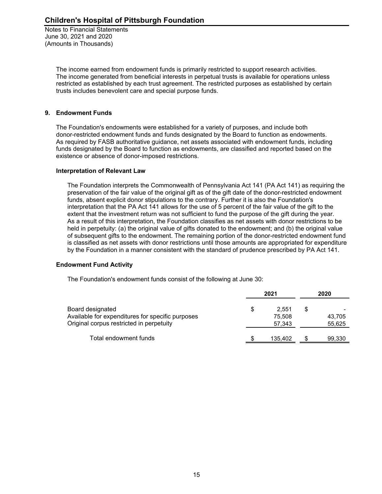> The income earned from endowment funds is primarily restricted to support research activities. The income generated from beneficial interests in perpetual trusts is available for operations unless restricted as established by each trust agreement. The restricted purposes as established by certain trusts includes benevolent care and special purpose funds.

# **9. Endowment Funds**

The Foundation's endowments were established for a variety of purposes, and include both donor-restricted endowment funds and funds designated by the Board to function as endowments. As required by FASB authoritative guidance, net assets associated with endowment funds, including funds designated by the Board to function as endowments, are classified and reported based on the existence or absence of donor-imposed restrictions.

#### **Interpretation of Relevant Law**

The Foundation interprets the Commonwealth of Pennsylvania Act 141 (PA Act 141) as requiring the preservation of the fair value of the original gift as of the gift date of the donor-restricted endowment funds, absent explicit donor stipulations to the contrary. Further it is also the Foundation's interpretation that the PA Act 141 allows for the use of 5 percent of the fair value of the gift to the extent that the investment return was not sufficient to fund the purpose of the gift during the year. As a result of this interpretation, the Foundation classifies as net assets with donor restrictions to be held in perpetuity: (a) the original value of gifts donated to the endowment; and (b) the original value of subsequent gifts to the endowment. The remaining portion of the donor-restricted endowment fund is classified as net assets with donor restrictions until those amounts are appropriated for expenditure by the Foundation in a manner consistent with the standard of prudence prescribed by PA Act 141.

# **Endowment Fund Activity**

The Foundation's endowment funds consist of the following at June 30:

| 2021            | 2020 |        |
|-----------------|------|--------|
| 2.551<br>75.508 | \$   | 43.705 |
| 57.343          |      | 55,625 |
| 135.402         |      | 99,330 |
|                 |      |        |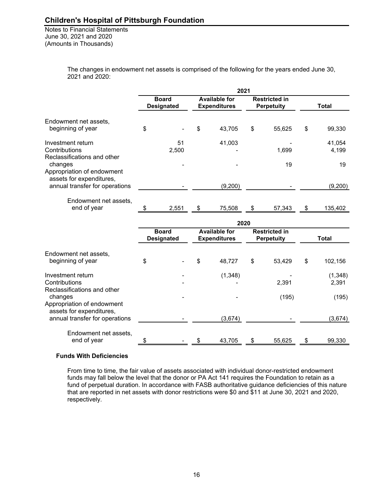Notes to Financial Statements June 30, 2021 and 2020 (Amounts in Thousands)

> The changes in endowment net assets is comprised of the following for the years ended June 30, 2021 and 2020:

|                                                                   | 2021 |                                   |    |                                             |    |                                           |    |                 |  |
|-------------------------------------------------------------------|------|-----------------------------------|----|---------------------------------------------|----|-------------------------------------------|----|-----------------|--|
|                                                                   |      | <b>Board</b><br><b>Designated</b> |    | <b>Available for</b><br><b>Expenditures</b> |    | <b>Restricted in</b><br><b>Perpetuity</b> |    | <b>Total</b>    |  |
| Endowment net assets,<br>beginning of year                        | \$   |                                   | \$ | 43,705                                      | \$ | 55,625                                    | \$ | 99,330          |  |
| Investment return<br>Contributions<br>Reclassifications and other |      | 51<br>2,500                       |    | 41,003                                      |    | 1,699                                     |    | 41,054<br>4,199 |  |
| changes<br>Appropriation of endowment<br>assets for expenditures, |      |                                   |    |                                             |    | 19                                        |    | 19              |  |
| annual transfer for operations                                    |      |                                   |    | (9,200)                                     |    |                                           |    | (9,200)         |  |
| Endowment net assets,<br>end of year                              | \$   | 2.551                             | \$ | 75.508                                      | \$ | 57.343                                    | \$ | 135,402         |  |

|                                                                   | 2020                              |  |                                             |         |                                           |        |       |                  |  |
|-------------------------------------------------------------------|-----------------------------------|--|---------------------------------------------|---------|-------------------------------------------|--------|-------|------------------|--|
|                                                                   | <b>Board</b><br><b>Designated</b> |  | <b>Available for</b><br><b>Expenditures</b> |         | <b>Restricted in</b><br><b>Perpetuity</b> |        | Total |                  |  |
| Endowment net assets,<br>beginning of year                        | \$                                |  | \$                                          | 48,727  | \$                                        | 53,429 | \$    | 102,156          |  |
| Investment return<br>Contributions<br>Reclassifications and other |                                   |  |                                             | (1,348) |                                           | 2,391  |       | (1,348)<br>2,391 |  |
| changes<br>Appropriation of endowment<br>assets for expenditures, |                                   |  |                                             |         |                                           | (195)  |       | (195)            |  |
| annual transfer for operations                                    |                                   |  |                                             | (3,674) |                                           |        |       | (3,674)          |  |
| Endowment net assets,<br>end of year                              |                                   |  |                                             | 43,705  |                                           | 55,625 | \$    | 99,330           |  |

#### **Funds With Deficiencies**

From time to time, the fair value of assets associated with individual donor-restricted endowment funds may fall below the level that the donor or PA Act 141 requires the Foundation to retain as a fund of perpetual duration. In accordance with FASB authoritative guidance deficiencies of this nature that are reported in net assets with donor restrictions were \$0 and \$11 at June 30, 2021 and 2020, respectively.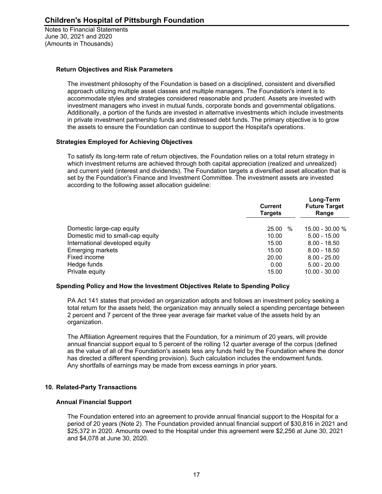#### **Return Objectives and Risk Parameters**

The investment philosophy of the Foundation is based on a disciplined, consistent and diversified approach utilizing multiple asset classes and multiple managers. The Foundation's intent is to accommodate styles and strategies considered reasonable and prudent. Assets are invested with investment managers who invest in mutual funds, corporate bonds and governmental obligations. Additionally, a portion of the funds are invested in alternative investments which include investments in private investment partnership funds and distressed debt funds. The primary objective is to grow the assets to ensure the Foundation can continue to support the Hospital's operations.

#### **Strategies Employed for Achieving Objectives**

To satisfy its long-term rate of return objectives, the Foundation relies on a total return strategy in which investment returns are achieved through both capital appreciation (realized and unrealized) and current yield (interest and dividends). The Foundation targets a diversified asset allocation that is set by the Foundation's Finance and Investment Committee. The investment assets are invested according to the following asset allocation guideline:

|                                  | <b>Current</b><br><b>Targets</b> | Long-Term<br><b>Future Target</b><br>Range |  |  |
|----------------------------------|----------------------------------|--------------------------------------------|--|--|
| Domestic large-cap equity        | 25.00<br>$\%$                    | $15.00 - 30.00 %$                          |  |  |
| Domestic mid to small-cap equity | 10.00                            | $5.00 - 15.00$                             |  |  |
| International developed equity   | 15.00                            | $8.00 - 18.50$                             |  |  |
| Emerging markets                 | 15.00                            | $8.00 - 18.50$                             |  |  |
| Fixed income                     | 20.00                            | $8.00 - 25.00$                             |  |  |
| Hedge funds                      | 0.00                             | $5.00 - 20.00$                             |  |  |
| Private equity                   | 15.00                            | $10.00 - 30.00$                            |  |  |
|                                  |                                  |                                            |  |  |

# **Spending Policy and How the Investment Objectives Relate to Spending Policy**

PA Act 141 states that provided an organization adopts and follows an investment policy seeking a total return for the assets held, the organization may annually select a spending percentage between 2 percent and 7 percent of the three year average fair market value of the assets held by an organization.

The Affiliation Agreement requires that the Foundation, for a minimum of 20 years, will provide annual financial support equal to 5 percent of the rolling 12 quarter average of the corpus (defined as the value of all of the Foundation's assets less any funds held by the Foundation where the donor has directed a different spending provision). Such calculation includes the endowment funds. Any shortfalls of earnings may be made from excess earnings in prior years.

# **10. Related-Party Transactions**

#### **Annual Financial Support**

The Foundation entered into an agreement to provide annual financial support to the Hospital for a period of 20 years (Note 2). The Foundation provided annual financial support of \$30,816 in 2021 and \$25,372 in 2020. Amounts owed to the Hospital under this agreement were \$2,256 at June 30, 2021 and \$4,078 at June 30, 2020.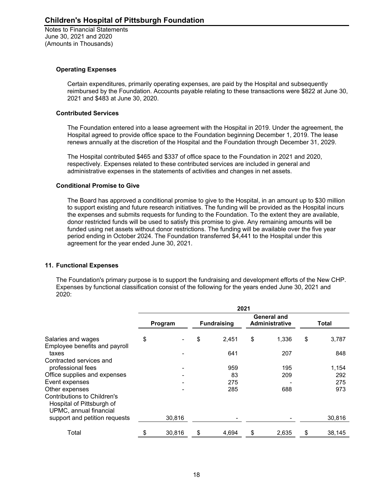#### **Operating Expenses**

Certain expenditures, primarily operating expenses, are paid by the Hospital and subsequently reimbursed by the Foundation. Accounts payable relating to these transactions were \$822 at June 30, 2021 and \$483 at June 30, 2020.

#### **Contributed Services**

The Foundation entered into a lease agreement with the Hospital in 2019. Under the agreement, the Hospital agreed to provide office space to the Foundation beginning December 1, 2019. The lease renews annually at the discretion of the Hospital and the Foundation through December 31, 2029.

The Hospital contributed \$465 and \$337 of office space to the Foundation in 2021 and 2020, respectively. Expenses related to these contributed services are included in general and administrative expenses in the statements of activities and changes in net assets.

#### **Conditional Promise to Give**

The Board has approved a conditional promise to give to the Hospital, in an amount up to \$30 million to support existing and future research initiatives. The funding will be provided as the Hospital incurs the expenses and submits requests for funding to the Foundation. To the extent they are available, donor restricted funds will be used to satisfy this promise to give. Any remaining amounts will be funded using net assets without donor restrictions. The funding will be available over the five year period ending in October 2024. The Foundation transferred \$4,441 to the Hospital under this agreement for the year ended June 30, 2021.

# **11. Functional Expenses**

The Foundation's primary purpose is to support the fundraising and development efforts of the New CHP. Expenses by functional classification consist of the following for the years ended June 30, 2021 and 2020:

|                                                                                                      | 2021                          |        |                                             |       |       |       |    |        |  |
|------------------------------------------------------------------------------------------------------|-------------------------------|--------|---------------------------------------------|-------|-------|-------|----|--------|--|
| Salaries and wages                                                                                   | <b>Fundraising</b><br>Program |        | <b>General and</b><br><b>Administrative</b> |       | Total |       |    |        |  |
|                                                                                                      | \$                            |        | \$                                          | 2,451 | \$    | 1,336 | \$ | 3,787  |  |
| Employee benefits and payroll<br>taxes                                                               |                               |        |                                             | 641   |       | 207   |    | 848    |  |
| Contracted services and<br>professional fees                                                         |                               |        |                                             | 959   |       | 195   |    | 1,154  |  |
| Office supplies and expenses                                                                         |                               |        |                                             | 83    |       | 209   |    | 292    |  |
| Event expenses                                                                                       |                               |        |                                             | 275   |       |       |    | 275    |  |
| Other expenses<br>Contributions to Children's<br>Hospital of Pittsburgh of<br>UPMC, annual financial |                               |        |                                             | 285   |       | 688   |    | 973    |  |
| support and petition requests                                                                        |                               | 30,816 |                                             |       |       |       |    | 30,816 |  |
| Total                                                                                                |                               | 30,816 | \$                                          | 4,694 | S     | 2,635 | \$ | 38,145 |  |